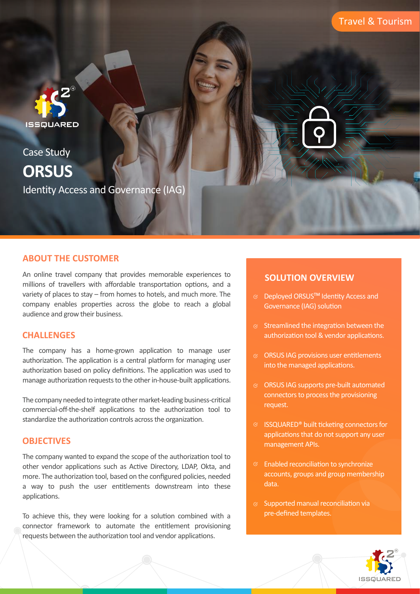

Case Study Identity Access and Governance (IAG) **ORSUS**

### **ABOUT THE CUSTOMER**

An online travel company that provides memorable experiences to millions of travellers with affordable transportation options, and a variety of places to stay – from homes to hotels, and much more. The company enables properties across the globe to reach a global audience and grow their business.

### **CHALLENGES**

The company has a home-grown application to manage user authorization. The application is a central platform for managing user authorization based on policy definitions. The application was used to manage authorization requests to the other in-house-built applications.

The company needed to integrate other market-leading business-critical commercial-off-the-shelf applications to the authorization tool to standardize the authorization controls across the organization.

### **OBJECTIVES**

The company wanted to expand the scope of the authorization tool to other vendor applications such as Active Directory, LDAP, Okta, and more. The authorization tool, based on the configured policies, needed a way to push the user entitlements downstream into these applications.

To achieve this, they were looking for a solution combined with a connector framework to automate the entitlement provisioning requests between the authorization tool and vendor applications.

## **SOLUTION OVERVIEW**

- $\textdegree$  Deployed ORSUS<sup>TM</sup> Identity Access and Governance (IAG) solution
- $\infty$  Streamlined the integration between the authorization tool & vendor applications.
- $\otimes$  ORSUS IAG provisions user entitlements into the managed applications.
- $\otimes$  ORSUS IAG supports pre-built automated connectors to process the provisioning request.
- $\textcircled{S}$  ISSQUARED® built ticketing connectors for applications that do not support any user management APIs.
- $\heartsuit$  Enabled reconciliation to synchronize accounts, groups and group membership data.
- $\infty$  Supported manual reconciliation via pre-defined templates.

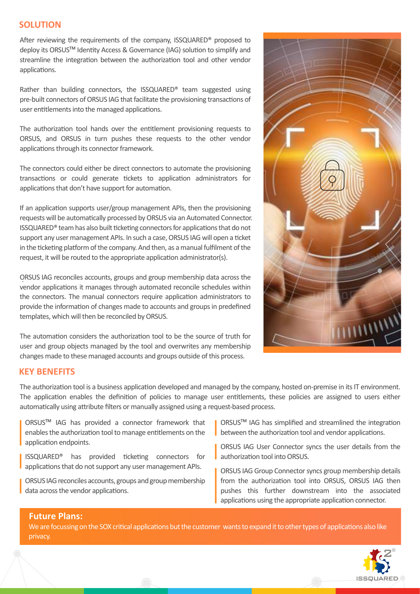### **SOLUTION**

After reviewing the requirements of the company, ISSQUARED® proposed to deploy its ORSUS<sup>™</sup> Identity Access & Governance (IAG) solution to simplify and streamline the integration between the authorization tool and other vendor applications.

Rather than building connectors, the ISSQUARED® team suggested using pre-built connectors of ORSUS IAG that facilitate the provisioning transactions of user entitlements into the managed applications.

The authorization tool hands over the entitlement provisioning requests to ORSUS, and ORSUS in turn pushes these requests to the other vendor applications through its connector framework.

The connectors could either be direct connectors to automate the provisioning transactions or could generate tickets to application administrators for applications that don't have support for automation.

If an application supports user/group management APIs, then the provisioning requests will be automatically processed by ORSUS via an Automated Connector. ISSQUARED<sup>®</sup> team has also built ticketing connectors for applications that do not support any user management APIs. In such a case, ORSUS IAG will open a ticket in the ticketing platform of the company. And then, as a manual fulfilment of the request, it will be routed to the appropriate application administrator(s).

ORSUS IAG reconciles accounts, groups and group membership data across the . vendor applications it manages through automated reconcile schedules within the connectors. The manual connectors require application administrators to provide the information of changes made to accounts and groups in predefined templates, which will then be reconciled by ORSUS.

The automation considers the authorization tool to be the source of truth for user and group objects managed by the tool and overwrites any membership changes made to these managed accounts and groups outside of this process.



#### **KEY BENEFITS**

The authorization tool is a business application developed and managed by the company, hosted on-premise in its IT environment. The application enables the definition of policies to manage user entitlements, these policies are assigned to users either automatically using attribute filters or manually assigned using a request-based process.

ORSUSTM IAG has provided a connector framework that enables the authorization tool to manage entitlements on the application endpoints.

ISSQUARED<sup>®</sup> has provided ticketing connectors for applications that do not support any user management APIs.

ORSUS IAG reconciles accounts, groups and group membership data across the vendor applications.

■ ORSUS<sup>™</sup> IAG has simplified and streamlined the integration between the authorization tool and vendor applications.

ORSUS IAG User Connector syncs the user details from the authorization tool into ORSUS.

ORSUS IAG Group Connector syncs group membership details from the authorization tool into ORSUS, ORSUS IAG then pushes this further downstream into the associated applications using the appropriate application connector.

#### **Future Plans:**

**Future Plans:** ISSQUARED®and the company discussed implemen ngORSUSTMIAM in the remainingmanufacturing sitesin the future. We are focussing on the SOX critical applications but the customer wants to expand it to other types of applications also like privacy.